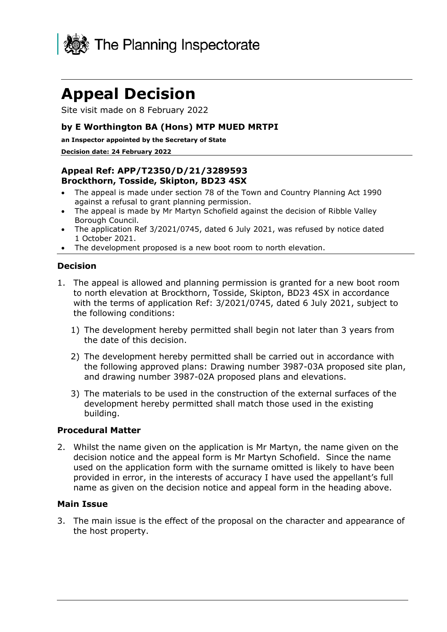

# **Appeal Decision**

Site visit made on 8 February 2022

## **by E Worthington BA (Hons) MTP MUED MRTPI**

#### **an Inspector appointed by the Secretary of State**

#### **Decision date: 24 February 2022**

## **Appeal Ref: APP/T2350/D/21/3289593 Brockthorn, Tosside, Skipton, BD23 4SX**

- The appeal is made under section 78 of the Town and Country Planning Act 1990 against a refusal to grant planning permission.
- The appeal is made by Mr Martyn Schofield against the decision of Ribble Valley Borough Council.
- The application Ref 3/2021/0745, dated 6 July 2021, was refused by notice dated 1 October 2021.
- The development proposed is a new boot room to north elevation.

#### **Decision**

- 1. The appeal is allowed and planning permission is granted for a new boot room to north elevation at Brockthorn, Tosside, Skipton, BD23 4SX in accordance with the terms of application Ref: 3/2021/0745, dated 6 July 2021, subject to the following conditions:
	- 1) The development hereby permitted shall begin not later than 3 years from the date of this decision.
	- 2) The development hereby permitted shall be carried out in accordance with the following approved plans: Drawing number 3987-03A proposed site plan, and drawing number 3987-02A proposed plans and elevations.
	- 3) The materials to be used in the construction of the external surfaces of the development hereby permitted shall match those used in the existing building.

#### **Procedural Matter**

2. Whilst the name given on the application is Mr Martyn, the name given on the decision notice and the appeal form is Mr Martyn Schofield. Since the name used on the application form with the surname omitted is likely to have been provided in error, in the interests of accuracy I have used the appellant's full name as given on the decision notice and appeal form in the heading above.

#### **Main Issue**

3. The main issue is the effect of the proposal on the character and appearance of the host property.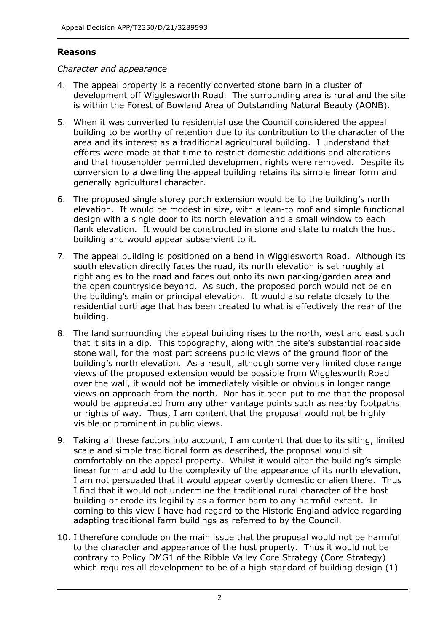## **Reasons**

## *Character and appearance*

- 4. The appeal property is a recently converted stone barn in a cluster of development off Wigglesworth Road. The surrounding area is rural and the site is within the Forest of Bowland Area of Outstanding Natural Beauty (AONB).
- 5. When it was converted to residential use the Council considered the appeal building to be worthy of retention due to its contribution to the character of the area and its interest as a traditional agricultural building. I understand that efforts were made at that time to restrict domestic additions and alterations and that householder permitted development rights were removed. Despite its conversion to a dwelling the appeal building retains its simple linear form and generally agricultural character.
- 6. The proposed single storey porch extension would be to the building's north elevation. It would be modest in size, with a lean-to roof and simple functional design with a single door to its north elevation and a small window to each flank elevation. It would be constructed in stone and slate to match the host building and would appear subservient to it.
- 7. The appeal building is positioned on a bend in Wigglesworth Road. Although its south elevation directly faces the road, its north elevation is set roughly at right angles to the road and faces out onto its own parking/garden area and the open countryside beyond. As such, the proposed porch would not be on the building's main or principal elevation. It would also relate closely to the residential curtilage that has been created to what is effectively the rear of the building.
- 8. The land surrounding the appeal building rises to the north, west and east such that it sits in a dip. This topography, along with the site's substantial roadside stone wall, for the most part screens public views of the ground floor of the building's north elevation. As a result, although some very limited close range views of the proposed extension would be possible from Wigglesworth Road over the wall, it would not be immediately visible or obvious in longer range views on approach from the north. Nor has it been put to me that the proposal would be appreciated from any other vantage points such as nearby footpaths or rights of way. Thus, I am content that the proposal would not be highly visible or prominent in public views.
- 9. Taking all these factors into account, I am content that due to its siting, limited scale and simple traditional form as described, the proposal would sit comfortably on the appeal property. Whilst it would alter the building's simple linear form and add to the complexity of the appearance of its north elevation, I am not persuaded that it would appear overtly domestic or alien there. Thus I find that it would not undermine the traditional rural character of the host building or erode its legibility as a former barn to any harmful extent. In coming to this view I have had regard to the Historic England advice regarding adapting traditional farm buildings as referred to by the Council.
- 10. I therefore conclude on the main issue that the proposal would not be harmful to the character and appearance of the host property. Thus it would not be contrary to Policy DMG1 of the Ribble Valley Core Strategy (Core Strategy) which requires all development to be of a high standard of building design (1)